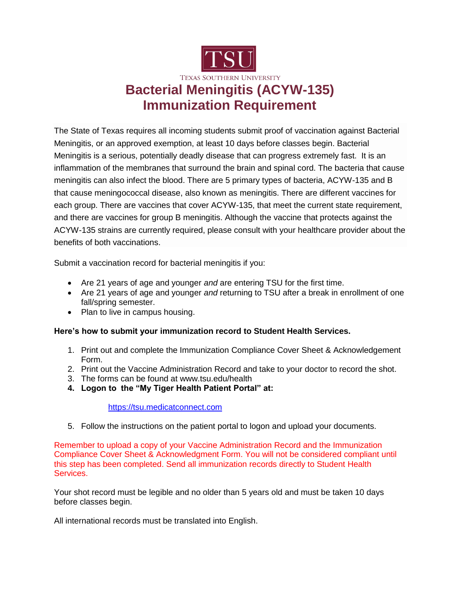

The State of Texas requires all incoming students submit proof of vaccination against Bacterial Meningitis, or an approved exemption, at least 10 days before classes begin. Bacterial Meningitis is a serious, potentially deadly disease that can progress extremely fast. It is an inflammation of the membranes that surround the brain and spinal cord. The bacteria that cause meningitis can also infect the blood. There are 5 primary types of bacteria, ACYW-135 and B that cause meningococcal disease, also known as meningitis. There are different vaccines for each group. There are vaccines that cover ACYW-135, that meet the current state requirement, and there are vaccines for group B meningitis. Although the vaccine that protects against the ACYW-135 strains are currently required, please consult with your healthcare provider about the benefits of both vaccinations.

Submit a vaccination record for bacterial meningitis if you:

- Are 21 years of age and younger *and* are entering TSU for the first time.
- Are 21 years of age and younger *and* returning to TSU after a break in enrollment of one fall/spring semester.
- Plan to live in campus housing.

## **Here's how to submit your immunization record to Student Health Services.**

- 1. Print out and complete the Immunization Compliance Cover Sheet & Acknowledgement Form.
- 2. Print out the Vaccine Administration Record and take to your doctor to record the shot.
- 3. The forms can be found at www.tsu.edu/health
- **4. Logon to the "My Tiger Health Patient Portal" at:**

## [https://tsu.medicatconnect.com](https://tsu.medicatconnect.com/)

5. Follow the instructions on the patient portal to logon and upload your documents.

Remember to upload a copy of your Vaccine Administration Record and the Immunization Compliance Cover Sheet & Acknowledgment Form. You will not be considered compliant until this step has been completed. Send all immunization records directly to Student Health Services.

Your shot record must be legible and no older than 5 years old and must be taken 10 days before classes begin.

All international records must be translated into English.